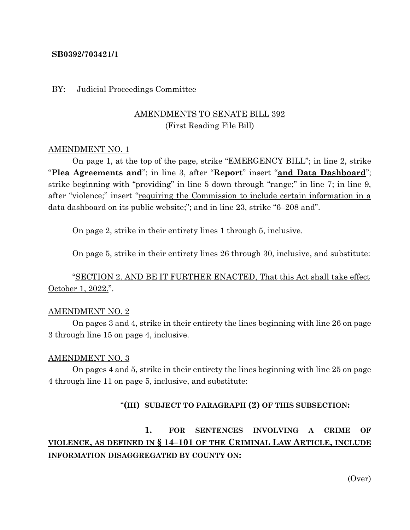### **SB0392/703421/1**

#### BY: Judicial Proceedings Committee

## AMENDMENTS TO SENATE BILL 392 (First Reading File Bill)

#### AMENDMENT NO. 1

On page 1, at the top of the page, strike "EMERGENCY BILL"; in line 2, strike "**Plea Agreements and**"; in line 3, after "**Report**" insert "**and Data Dashboard**"; strike beginning with "providing" in line 5 down through "range;" in line 7; in line 9, after "violence;" insert "requiring the Commission to include certain information in a data dashboard on its public website;"; and in line 23, strike "6–208 and".

On page 2, strike in their entirety lines 1 through 5, inclusive.

On page 5, strike in their entirety lines 26 through 30, inclusive, and substitute:

"SECTION 2. AND BE IT FURTHER ENACTED, That this Act shall take effect October 1, 2022.".

#### AMENDMENT NO. 2

On pages 3 and 4, strike in their entirety the lines beginning with line 26 on page 3 through line 15 on page 4, inclusive.

#### AMENDMENT NO. 3

On pages 4 and 5, strike in their entirety the lines beginning with line 25 on page 4 through line 11 on page 5, inclusive, and substitute:

#### "**(III) SUBJECT TO PARAGRAPH (2) OF THIS SUBSECTION:**

# **1. FOR SENTENCES INVOLVING A CRIME OF VIOLENCE, AS DEFINED IN § 14–101 OF THE CRIMINAL LAW ARTICLE, INCLUDE INFORMATION DISAGGREGATED BY COUNTY ON:**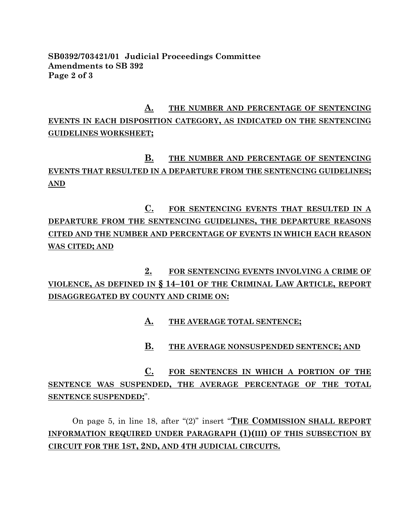### **SB0392/703421/01 Judicial Proceedings Committee Amendments to SB 392 Page 2 of 3**

# **A. THE NUMBER AND PERCENTAGE OF SENTENCING EVENTS IN EACH DISPOSITION CATEGORY, AS INDICATED ON THE SENTENCING GUIDELINES WORKSHEET;**

# **B. THE NUMBER AND PERCENTAGE OF SENTENCING EVENTS THAT RESULTED IN A DEPARTURE FROM THE SENTENCING GUIDELINES; AND**

**C. FOR SENTENCING EVENTS THAT RESULTED IN A DEPARTURE FROM THE SENTENCING GUIDELINES, THE DEPARTURE REASONS CITED AND THE NUMBER AND PERCENTAGE OF EVENTS IN WHICH EACH REASON WAS CITED; AND**

# **2. FOR SENTENCING EVENTS INVOLVING A CRIME OF VIOLENCE, AS DEFINED IN § 14–101 OF THE CRIMINAL LAW ARTICLE, REPORT DISAGGREGATED BY COUNTY AND CRIME ON:**

## **A. THE AVERAGE TOTAL SENTENCE;**

## **B. THE AVERAGE NONSUSPENDED SENTENCE; AND**

**C. FOR SENTENCES IN WHICH A PORTION OF THE SENTENCE WAS SUSPENDED, THE AVERAGE PERCENTAGE OF THE TOTAL SENTENCE SUSPENDED;**".

On page 5, in line 18, after "(2)" insert "**THE COMMISSION SHALL REPORT INFORMATION REQUIRED UNDER PARAGRAPH (1)(III) OF THIS SUBSECTION BY CIRCUIT FOR THE 1ST, 2ND, AND 4TH JUDICIAL CIRCUITS.**